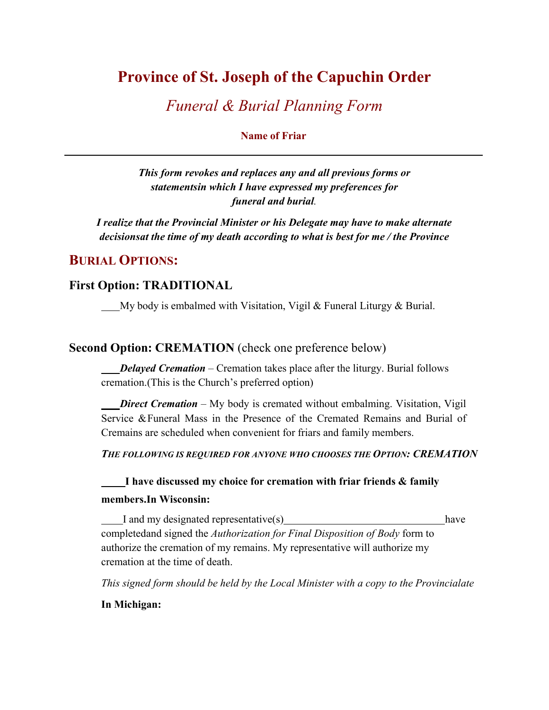## **Province of St. Joseph of the Capuchin Order**

## *Funeral & Burial Planning Form*

**Name of Friar**

*This form revokes and replaces any and all previous forms or statementsin which I have expressed my preferences for funeral and burial.* 

*I realize that the Provincial Minister or his Delegate may have to make alternate decisions at the time of my death according to what is best for me / the Province*

### **BURIAL OPTIONS:**

#### **First Option: TRADITIONAL**

My body is embalmed with Visitation, Vigil & Funeral Liturgy & Burial.

**Second Option: CREMATION** (check one preference below)

 *Delayed Cremation –* Cremation takes place after the liturgy. Burial follows cremation. (This is the Church's preferred option)

*Direct Cremation –* My body is cremated without embalming. Visitation, Vigil Service &Funeral Mass in the Presence of the Cremated Remains and Burial of Cremains are scheduled when convenient for friars and family members.

*THE FOLLOWING IS REQUIRED FOR ANYONE WHO CHOOSES THE OPTION: CREMATION*

### **I have discussed my choice for cremation with friar friends & family members.In Wisconsin:**

I and my designated representative(s) have completed and signed the *Authorization for Final Disposition of Body* form to authorize the cremation of my remains. My representative will authorize my cremation at the time of death.

*This signed form should be held by the Local Minister with a copy to the Provincialate* 

#### **In Michigan:**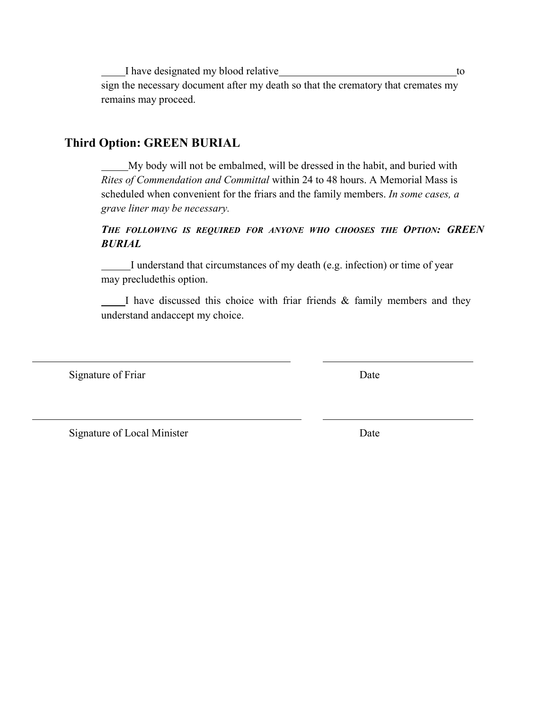I have designated my blood relative to the state to to the to the to the to the to the to to the to the to the to the to the to the to the to the to the to the to the to the to the to the to the to the to the to the to the sign the necessary document after my death so that the crematory that cremates my remains may proceed.

#### **Third Option: GREEN BURIAL**

 My body will not be embalmed, will be dressed in the habit, and buried with *Rites of Commendation and Committal* within 24 to 48 hours. A Memorial Mass is scheduled when convenient for the friars and the family members. *In some cases, a grave liner may be necessary.*

*THE FOLLOWING IS REQUIRED FOR ANYONE WHO CHOOSES THE OPTION: GREEN BURIAL*

 I understand that circumstances of my death (e.g. infection) or time of year may preclude this option.

 I have discussed this choice with friar friends & family members and they understand andaccept my choice.

Signature of Friar Date

Signature of Local Minister Date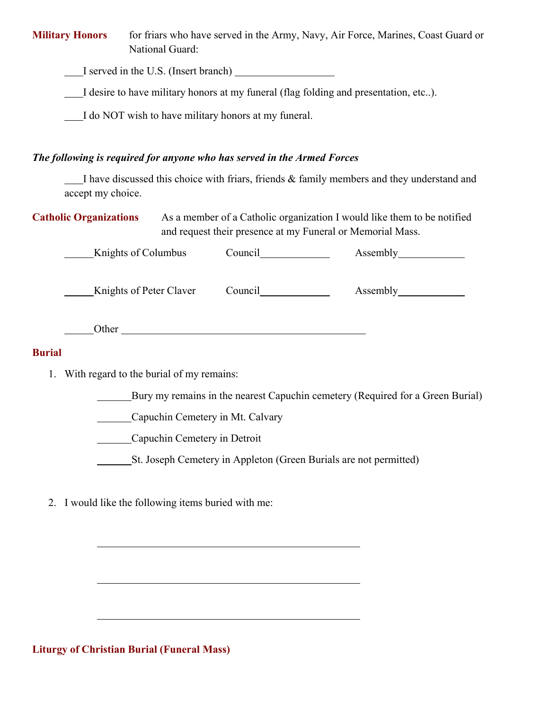**Military Honors** for friars who have served in the Army, Navy, Air Force, Marines, Coast Guard or National Guard:

I served in the U.S. (Insert branch)

I desire to have military honors at my funeral (flag folding and presentation, etc..).

I do NOT wish to have military honors at my funeral.

#### *The following is required for anyone who has served in the Armed Forces*

 I have discussed this choice with friars, friends & family members and they understand and accept my choice.

**Catholic Organizations** As a member of a Catholic organization I would like them to be notified and request their presence at my Funeral or Memorial Mass.

|               | <b>Knights of Columbus</b>     | Council |  |
|---------------|--------------------------------|---------|--|
|               | <b>Knights of Peter Claver</b> | Council |  |
|               | Other                          |         |  |
| <b>Burial</b> |                                |         |  |

1. With regard to the burial of my remains:

Bury my remains in the nearest Capuchin cemetery (Required for a Green Burial)

Capuchin Cemetery in Mt. Calvary

Capuchin Cemetery in Detroit

St. Joseph Cemetery in Appleton (Green Burials are not permitted)

2. I would like the following items buried with me:

**Liturgy of Christian Burial (Funeral Mass)**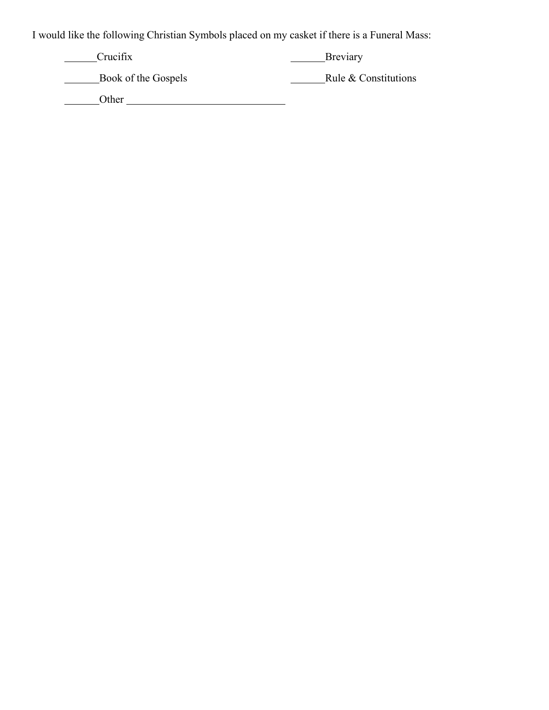I would like the following Christian Symbols placed on my casket if there is a Funeral Mass:

Crucifix Breviary

Book of the Gospels Rule & Constitutions

Other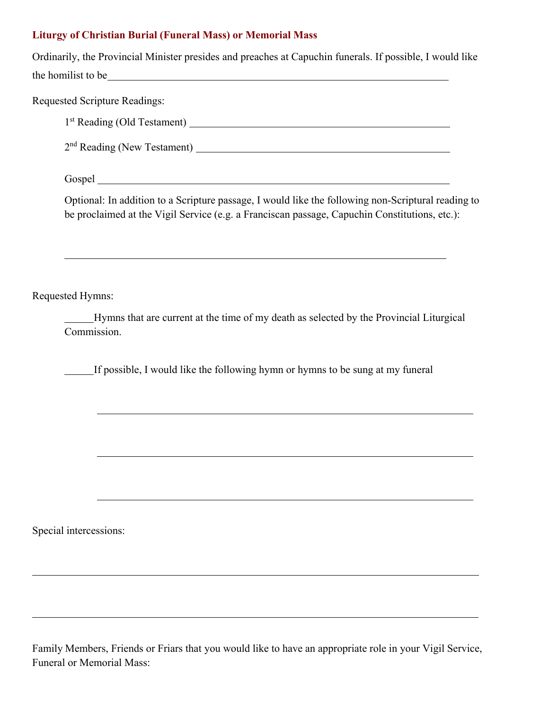#### **Liturgy of Christian Burial (Funeral Mass) or Memorial Mass**

Ordinarily, the Provincial Minister presides and preaches at Capuchin funerals. If possible, I would like the homilist to be set the set of the set of the homilist to be set of the set of the set of the set of the set of the set of the set of the set of the set of the set of the set of the set of the set of the set of the set

Requested Scripture Readings:

1st Reading (Old Testament)

2nd Reading (New Testament)

Gospel

Optional: In addition to a Scripture passage, I would like the following non-Scriptural reading to be proclaimed at the Vigil Service (e.g. a Franciscan passage, Capuchin Constitutions, etc.):

Requested Hymns:

 Hymns that are current at the time of my death as selected by the Provincial Liturgical Commission.

If possible, I would like the following hymn or hymns to be sung at my funeral

Special intercessions:

Family Members, Friends or Friars that you would like to have an appropriate role in your Vigil Service, Funeral or Memorial Mass: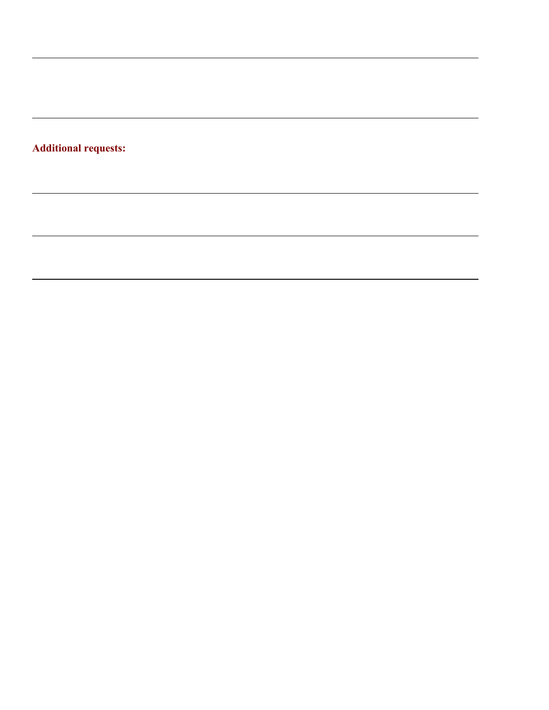## **Additional requests:**

,我们也不能在这里的时候,我们也不能在这里的时候,我们也不能会在这里的时候,我们也不能会在这里的时候,我们也不能会在这里的时候,我们也不能会在这里的时候,我们也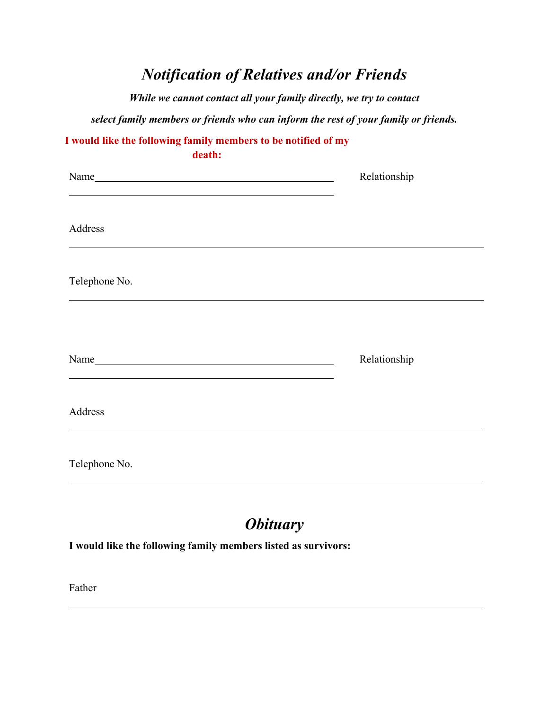# *Notification of Relatives and/or Friends*

*While we cannot contact all your family directly, we try to contact* 

*select family members or friends who can inform the rest of your family or friends.*

| I would like the following family members to be notified of my<br>death:                                         |              |
|------------------------------------------------------------------------------------------------------------------|--------------|
| Name                                                                                                             | Relationship |
| Address                                                                                                          |              |
| Telephone No.                                                                                                    |              |
| and the control of the control of the control of the control of the control of the control of the control of the | Relationship |
| Address                                                                                                          |              |
| Telephone No.                                                                                                    |              |

# *Obituary*

**I would like the following family members listed as survivors:**

Father